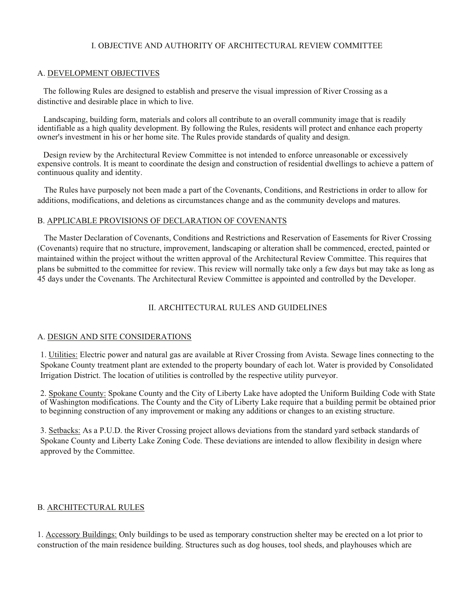## I. OBJECTIVE AND AUTHORITY OF ARCHITECTURAL REVIEW COMMITTEE

#### A. DEVELOPMENT OBJECTIVES

The following Rules are designed to establish and preserve the visual impression of River Crossing as a distinctive and desirable place in which to live.

Landscaping, building form, materials and colors all contribute to an overall community image that is readily identifiable as a high quality development. By following the Rules, residents will protect and enhance each property owner's investment in his or her home site. The Rules provide standards of quality and design.

Design review by the Architectural Review Committee is not intended to enforce unreasonable or excessively expensive controls. It is meant to coordinate the design and construction of residential dwellings to achieve a pattern of continuous quality and identity.

The Rules have purposely not been made a part of the Covenants, Conditions, and Restrictions in order to allow for additions, modifications, and deletions as circumstances change and as the community develops and matures.

## B. APPLICABLE PROVISIONS OF DECLARATION OF COVENANTS

The Master Declaration of Covenants, Conditions and Restrictions and Reservation of Easements for River Crossing (Covenants) require that no structure, improvement, landscaping or alteration shall be commenced, erected, painted or maintained within the project without the written approval of the Architectural Review Committee. This requires that plans be submitted to the committee for review. This review will normally take only a few days but may take as long as 45 days under the Covenants. The Architectural Review Committee is appointed and controlled by the Developer.

## II. ARCHITECTURAL RULES AND GUIDELINES

#### A. DESIGN AND SITE CONSIDERATIONS

1. Utilities: Electric power and natural gas are available at River Crossing from Avista. Sewage lines connecting to the Spokane County treatment plant are extended to the property boundary of each lot. Water is provided by Consolidated Irrigation District. The location of utilities is controlled by the respective utility purveyor.

2. Spokane County: Spokane County and the City of Liberty Lake have adopted the Uniform Building Code with State of Washington modifications. The County and the City of Liberty Lake require that a building permit be obtained prior to beginning construction of any improvement or making any additions or changes to an existing structure.

3. Setbacks: As a P.U.D. the River Crossing project allows deviations from the standard yard setback standards of Spokane County and Liberty Lake Zoning Code. These deviations are intended to allow flexibility in design where approved by the Committee.

#### B. ARCHITECTURAL RULES

1. Accessory Buildings: Only buildings to be used as temporary construction shelter may be erected on a lot prior to construction of the main residence building. Structures such as dog houses, tool sheds, and playhouses which are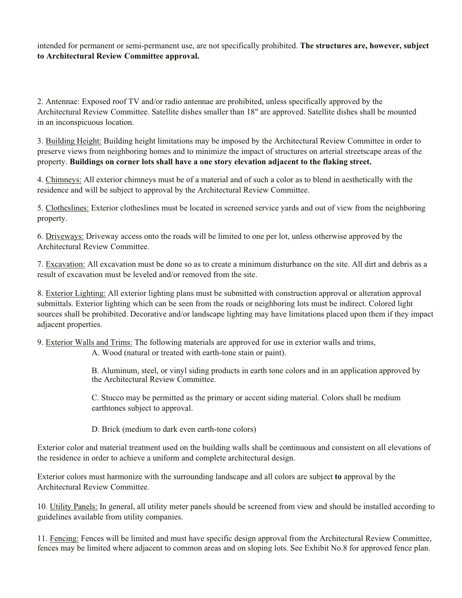intended for permanent or semi-permanent use, are not specifically prohibited. **The structures are, however, subject to Architectural Review Committee approval.** 

2. Antennae: Exposed roof TV and/or radio antennae are prohibited, unless specifically approved by the Architectural Review Committee. Satellite dishes smaller than 18" are approved. Satellite dishes shall be mounted in an inconspicuous location.

3. Building Height: Building height limitations may be imposed by the Architectural Review Committee in order to preserve views from neighboring homes and to minimize the impact of structures on arterial streetscape areas of the property. **Buildings on corner lots shall have a one story elevation adjacent to the flaking street.**

4. Chimneys: All exterior chimneys must be of a material and of such a color as to blend in aesthetically with the residence and will be subject to approval by the Architectural Review Committee.

5. Clotheslines: Exterior clotheslines must be located in screened service yards and out of view from the neighboring property.

6. Driveways: Driveway access onto the roads will be limited to one per lot, unless otherwise approved by the Architectural Review Committee.

7. Excavation: All excavation must be done so as to create a minimum disturbance on the site. All dirt and debris as a result of excavation must be leveled and/or removed from the site.

8. Exterior Lighting: All exterior lighting plans must be submitted with construction approval or alteration approval submittals. Exterior lighting which can be seen from the roads or neighboring lots must be indirect. Colored light sources shall be prohibited. Decorative and/or landscape lighting may have limitations placed upon them if they impact adjacent properties.

9. Exterior Walls and Trims: The following materials are approved for use in exterior walls and trims,

A. Wood (natural or treated with earth-tone stain or paint).

B. Aluminum, steel, or vinyl siding products in earth tone colors and in an application approved by the Architectural Review Committee.

C. Stucco may be permitted as the primary or accent siding material. Colors shall be medium earthtones subject to approval.

D. Brick (medium to dark even earth-tone colors)

Exterior color and material treatment used on the building walls shall be continuous and consistent on all elevations of the residence in order to achieve a uniform and complete architectural design.

Exterior colors must harmonize with the surrounding landscape and all colors are subject **to** approval by the Architectural Review Committee.

10. Utility Panels: In general, all utility meter panels should be screened from view and should be installed according to guidelines available from utility companies.

11. Fencing: Fences will be limited and must have specific design approval from the Architectural Review Committee, fences may be limited where adjacent to common areas and on sloping lots. See Exhibit No.8 for approved fence plan.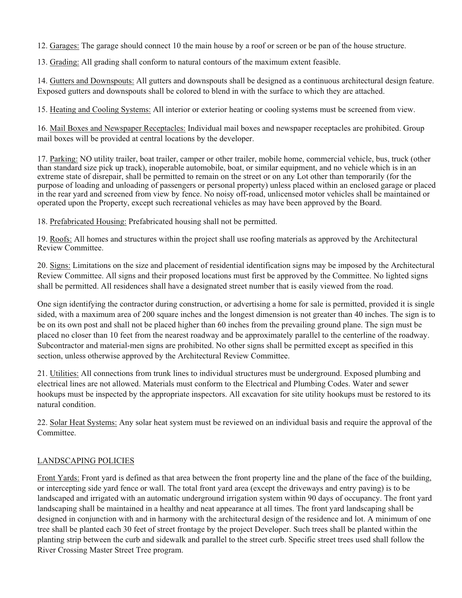12. Garages: The garage should connect 10 the main house by a roof or screen or be pan of the house structure.

13. Grading: All grading shall conform to natural contours of the maximum extent feasible.

14. Gutters and Downspouts: All gutters and downspouts shall be designed as a continuous architectural design feature. Exposed gutters and downspouts shall be colored to blend in with the surface to which they are attached.

15. Heating and Cooling Systems: All interior or exterior heating or cooling systems must be screened from view.

16. Mail Boxes and Newspaper Receptacles: Individual mail boxes and newspaper receptacles are prohibited. Group mail boxes will be provided at central locations by the developer.

17. Parking: NO utility trailer, boat trailer, camper or other trailer, mobile home, commercial vehicle, bus, truck (other than standard size pick up track), inoperable automobile, boat, or similar equipment, and no vehicle which is in an extreme state of disrepair, shall be permitted to remain on the street or on any Lot other than temporarily (for the purpose of loading and unloading of passengers or personal property) unless placed within an enclosed garage or placed in the rear yard and screened from view by fence. No noisy off-road, unlicensed motor vehicles shall be maintained or operated upon the Property, except such recreational vehicles as may have been approved by the Board.

18. Prefabricated Housing: Prefabricated housing shall not be permitted.

19. Roofs: All homes and structures within the project shall use roofing materials as approved by the Architectural Review Committee.

20. Signs: Limitations on the size and placement of residential identification signs may be imposed by the Architectural Review Committee. All signs and their proposed locations must first be approved by the Committee. No lighted signs shall be permitted. All residences shall have a designated street number that is easily viewed from the road.

One sign identifying the contractor during construction, or advertising a home for sale is permitted, provided it is single sided, with a maximum area of 200 square inches and the longest dimension is not greater than 40 inches. The sign is to be on its own post and shall not be placed higher than 60 inches from the prevailing ground plane. The sign must be placed no closer than 10 feet from the nearest roadway and be approximately parallel to the centerline of the roadway. Subcontractor and material-men signs are prohibited. No other signs shall be permitted except as specified in this section, unless otherwise approved by the Architectural Review Committee.

21. Utilities: All connections from trunk lines to individual structures must be underground. Exposed plumbing and electrical lines are not allowed. Materials must conform to the Electrical and Plumbing Codes. Water and sewer hookups must be inspected by the appropriate inspectors. All excavation for site utility hookups must be restored to its natural condition.

22. Solar Heat Systems: Any solar heat system must be reviewed on an individual basis and require the approval of the Committee.

## LANDSCAPING POLICIES

Front Yards: Front yard is defined as that area between the front property line and the plane of the face of the building, or intercepting side yard fence or wall. The total front yard area (except the driveways and entry paving) is to be landscaped and irrigated with an automatic underground irrigation system within 90 days of occupancy. The front yard landscaping shall be maintained in a healthy and neat appearance at all times. The front yard landscaping shall be designed in conjunction with and in harmony with the architectural design of the residence and lot. A minimum of one tree shall be planted each 30 feet of street frontage by the project Developer. Such trees shall be planted within the planting strip between the curb and sidewalk and parallel to the street curb. Specific street trees used shall follow the River Crossing Master Street Tree program.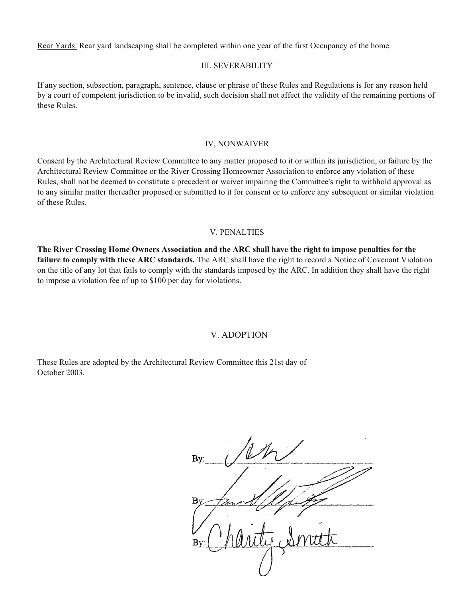Rear Yards: Rear yard landscaping shall be completed within one year of the first Occupancy of the home.

#### III. SEVERABILITY

If any section, subsection, paragraph, sentence, clause or phrase of these Rules and Regulations is for any reason held by a court of competent jurisdiction to be invalid, such decision shall not affect the validity of the remaining portions of these Rules.

#### IV, NONWAIVER

Consent by the Architectural Review Committee to any matter proposed to it or within its jurisdiction, or failure by the Architectural Review Committee or the River Crossing Homeowner Association to enforce any violation of these Rules, shall not be deemed to constitute a precedent or waiver impairing the Committee's right to withhold approval as to any similar matter thereafter proposed or submitted to it for consent or to enforce any subsequent or similar violation of these Rules.

#### V. PENALTIES

**The River Crossing Home Owners Association and the ARC shall have the right to impose penalties for the failure to comply with these ARC standards.** The ARC shall have the right to record a Notice of Covenant Violation on the title of any lot that fails to comply with the standards imposed by the ARC. In addition they shall have the right to impose a violation fee of up to \$100 per day for violations.

## V. ADOPTION

These Rules are adopted by the Architectural Review Committee this 21st day of October 2003.

Bv:  $Bv$